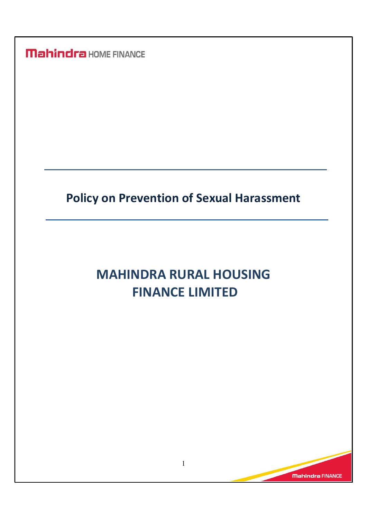**Mahindra HOME FINANCE** 

## Policy on Prevention of Sexual Harassment

# MAHINDRA RURAL HOUSING FINANCE LIMITED

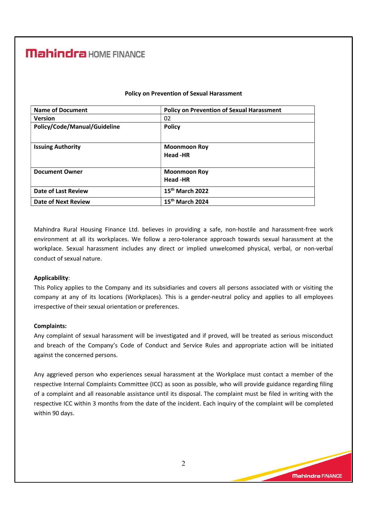### **Mahindra** HOME FINANCE

| <b>Name of Document</b>      | <b>Policy on Prevention of Sexual Harassment</b> |
|------------------------------|--------------------------------------------------|
| <b>Version</b>               | 02                                               |
| Policy/Code/Manual/Guideline | <b>Policy</b>                                    |
|                              |                                                  |
| <b>Issuing Authority</b>     | <b>Moonmoon Roy</b>                              |
|                              | Head -HR                                         |
|                              |                                                  |
| <b>Document Owner</b>        | <b>Moonmoon Roy</b>                              |
|                              | Head -HR                                         |
| Date of Last Review          | 15 <sup>th</sup> March 2022                      |
| <b>Date of Next Review</b>   | 15 <sup>th</sup> March 2024                      |

### Policy on Prevention of Sexual Harassment

Mahindra Rural Housing Finance Ltd. believes in providing a safe, non-hostile and harassment-free work environment at all its workplaces. We follow a zero-tolerance approach towards sexual harassment at the workplace. Sexual harassment includes any direct or implied unwelcomed physical, verbal, or non-verbal conduct of sexual nature.

### Applicability:

This Policy applies to the Company and its subsidiaries and covers all persons associated with or visiting the company at any of its locations (Workplaces). This is a gender-neutral policy and applies to all employees irrespective of their sexual orientation or preferences.

#### Complaints:

Any complaint of sexual harassment will be investigated and if proved, will be treated as serious misconduct and breach of the Company's Code of Conduct and Service Rules and appropriate action will be initiated against the concerned persons.

Any aggrieved person who experiences sexual harassment at the Workplace must contact a member of the respective Internal Complaints Committee (ICC) as soon as possible, who will provide guidance regarding filing of a complaint and all reasonable assistance until its disposal. The complaint must be filed in writing with the respective ICC within 3 months from the date of the incident. Each inquiry of the complaint will be completed within 90 days.

**Mahindra FINANCE**